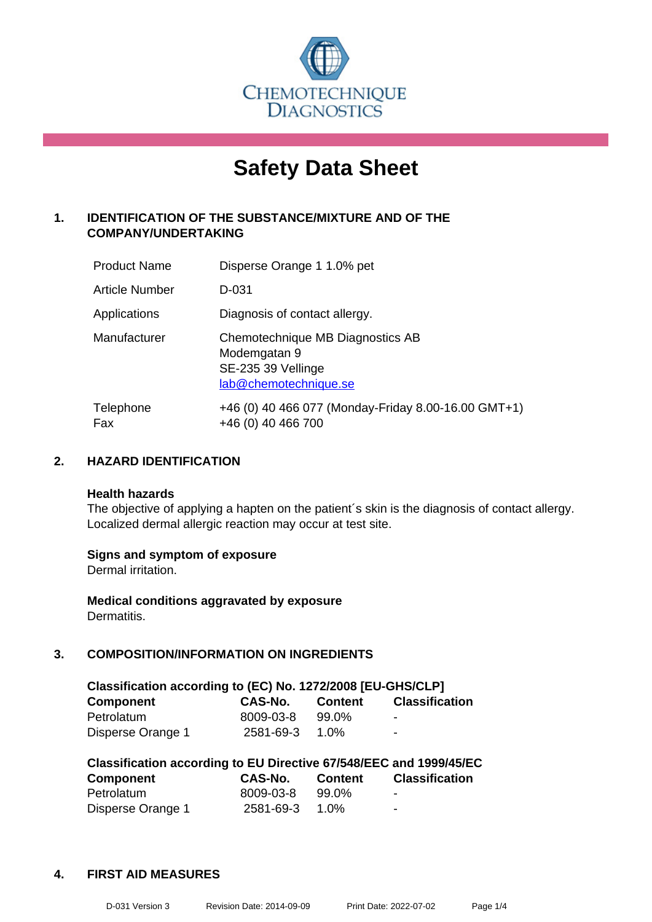

# **Safety Data Sheet**

## **1. IDENTIFICATION OF THE SUBSTANCE/MIXTURE AND OF THE COMPANY/UNDERTAKING**

| <b>Product Name</b> | Disperse Orange 1 1.0% pet                                                                      |
|---------------------|-------------------------------------------------------------------------------------------------|
| Article Number      | D-031                                                                                           |
| Applications        | Diagnosis of contact allergy.                                                                   |
| Manufacturer        | Chemotechnique MB Diagnostics AB<br>Modemgatan 9<br>SE-235 39 Vellinge<br>lab@chemotechnique.se |
| Telephone<br>Fax    | +46 (0) 40 466 077 (Monday-Friday 8.00-16.00 GMT+1)<br>+46 (0) 40 466 700                       |

## **2. HAZARD IDENTIFICATION**

#### **Health hazards**

The objective of applying a hapten on the patient's skin is the diagnosis of contact allergy. Localized dermal allergic reaction may occur at test site.

## **Signs and symptom of exposure**

Dermal irritation.

**Medical conditions aggravated by exposure** Dermatitis.

## **3. COMPOSITION/INFORMATION ON INGREDIENTS**

| Classification according to (EC) No. 1272/2008 [EU-GHS/CLP] |           |                |                       |  |
|-------------------------------------------------------------|-----------|----------------|-----------------------|--|
| <b>Component</b>                                            | CAS-No.   | <b>Content</b> | <b>Classification</b> |  |
| Petrolatum                                                  | 8009-03-8 | 99.0%          | -                     |  |
| Disperse Orange 1                                           | 2581-69-3 | 1.0%           | $\blacksquare$        |  |

| Classification according to EU Directive 67/548/EEC and 1999/45/EC |           |                |                       |  |
|--------------------------------------------------------------------|-----------|----------------|-----------------------|--|
| <b>Component</b>                                                   | CAS-No.   | <b>Content</b> | <b>Classification</b> |  |
| Petrolatum                                                         | 8009-03-8 | 99.0%          | $\blacksquare$        |  |
| Disperse Orange 1                                                  | 2581-69-3 | $1.0\%$        | $\blacksquare$        |  |

#### **4. FIRST AID MEASURES**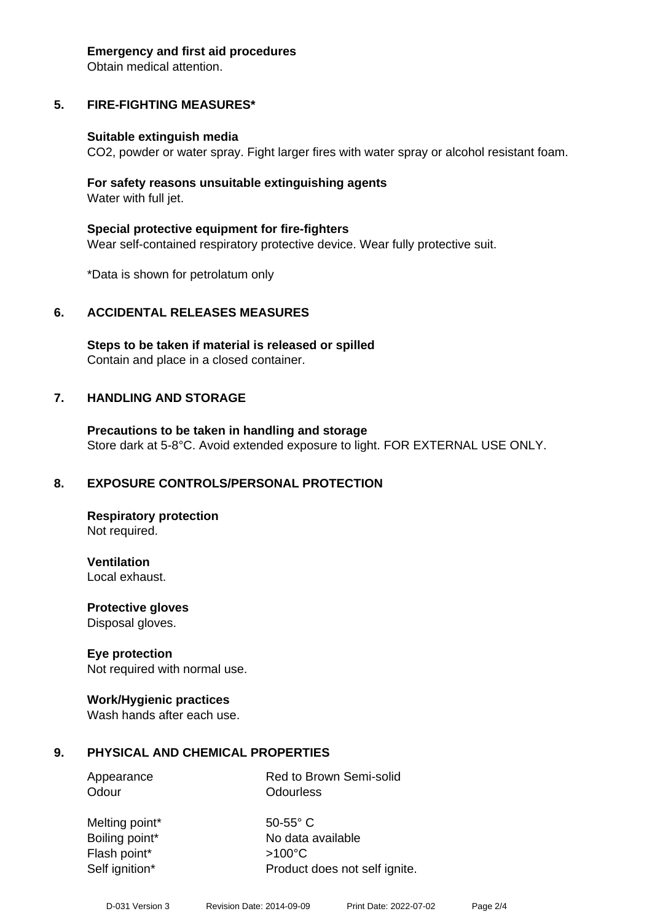#### **Emergency and first aid procedures**

Obtain medical attention.

# **5. FIRE-FIGHTING MEASURES\***

## **Suitable extinguish media**

CO2, powder or water spray. Fight larger fires with water spray or alcohol resistant foam.

## **For safety reasons unsuitable extinguishing agents** Water with full jet.

**Special protective equipment for fire-fighters** Wear self-contained respiratory protective device. Wear fully protective suit.

\*Data is shown for petrolatum only

# **6. ACCIDENTAL RELEASES MEASURES**

**Steps to be taken if material is released or spilled** Contain and place in a closed container.

# **7. HANDLING AND STORAGE**

**Precautions to be taken in handling and storage** Store dark at 5-8°C. Avoid extended exposure to light. FOR EXTERNAL USE ONLY.

# **8. EXPOSURE CONTROLS/PERSONAL PROTECTION**

**Respiratory protection** Not required.

**Ventilation** Local exhaust.

**Protective gloves** Disposal gloves.

# **Eye protection**

Not required with normal use.

## **Work/Hygienic practices**

Wash hands after each use.

# **9. PHYSICAL AND CHEMICAL PROPERTIES**

| Appearance | Red to Brown Semi-solid |
|------------|-------------------------|
| Odour      | Odourless               |

Melting point\* 50-55° C Flash point\* >100°C Self ignition\* Product does not self ignite.

Boiling point\* No data available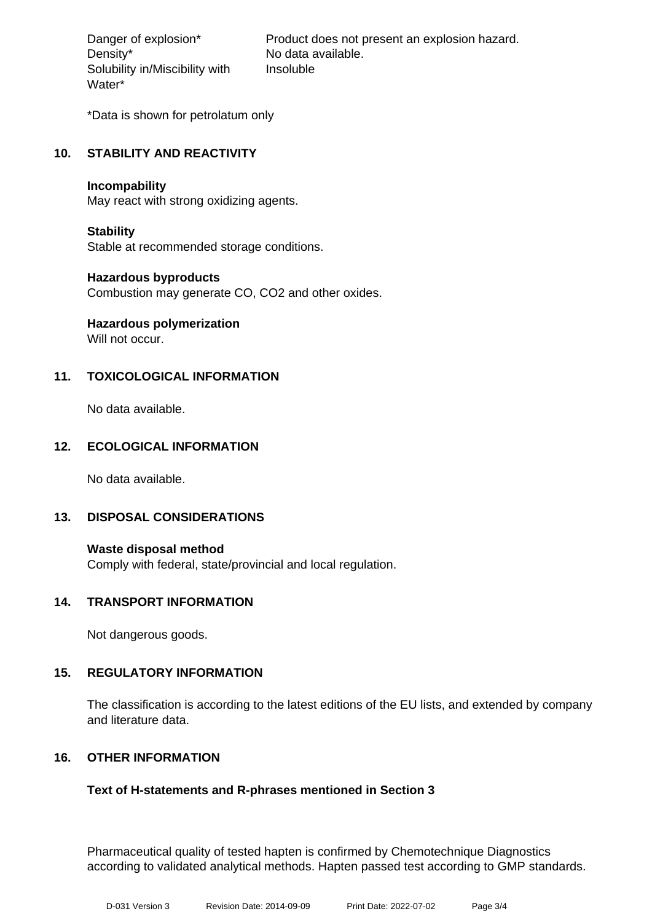Density\* No data available. Solubility in/Miscibility with Water\*

Danger of explosion\* Product does not present an explosion hazard. Insoluble

\*Data is shown for petrolatum only

## **10. STABILITY AND REACTIVITY**

#### **Incompability**

May react with strong oxidizing agents.

## **Stability**

Stable at recommended storage conditions.

## **Hazardous byproducts**

Combustion may generate CO, CO2 and other oxides.

# **Hazardous polymerization**

Will not occur.

## **11. TOXICOLOGICAL INFORMATION**

No data available.

## **12. ECOLOGICAL INFORMATION**

No data available.

## **13. DISPOSAL CONSIDERATIONS**

**Waste disposal method** Comply with federal, state/provincial and local regulation.

## **14. TRANSPORT INFORMATION**

Not dangerous goods.

## **15. REGULATORY INFORMATION**

The classification is according to the latest editions of the EU lists, and extended by company and literature data.

## **16. OTHER INFORMATION**

## **Text of H-statements and R-phrases mentioned in Section 3**

Pharmaceutical quality of tested hapten is confirmed by Chemotechnique Diagnostics according to validated analytical methods. Hapten passed test according to GMP standards.